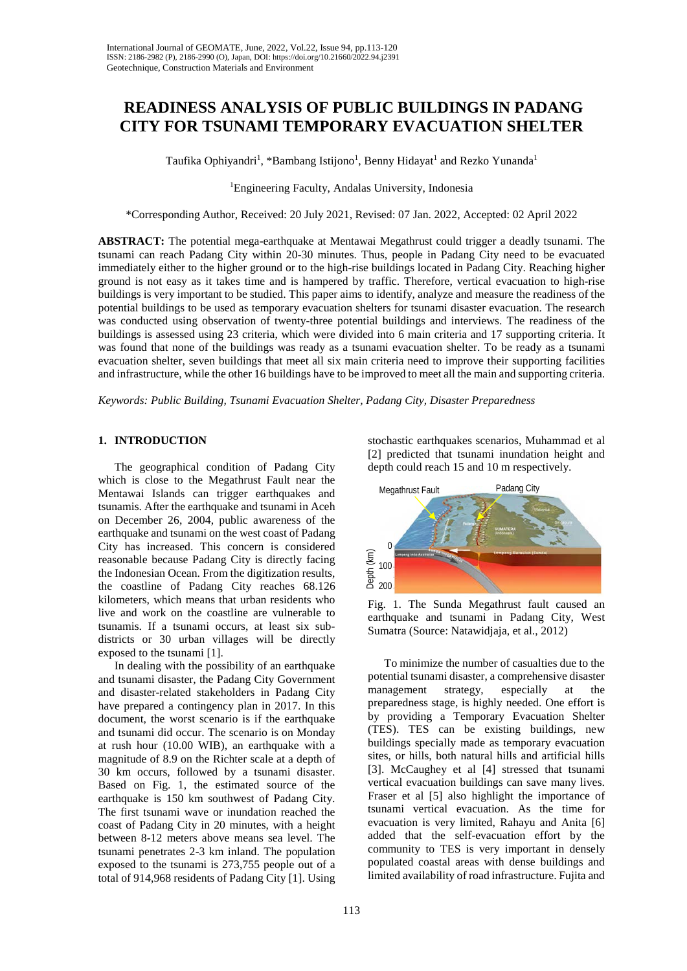# **READINESS ANALYSIS OF PUBLIC BUILDINGS IN PADANG CITY FOR TSUNAMI TEMPORARY EVACUATION SHELTER**

Taufika Ophiyandri<sup>1</sup>, \*Bambang Istijono<sup>1</sup>, Benny Hidayat<sup>1</sup> and Rezko Yunanda<sup>1</sup>

1 Engineering Faculty, Andalas University, Indonesia

\*Corresponding Author, Received: 20 July 2021, Revised: 07 Jan. 2022, Accepted: 02 April 2022

**ABSTRACT:** The potential mega-earthquake at Mentawai Megathrust could trigger a deadly tsunami. The tsunami can reach Padang City within 20-30 minutes. Thus, people in Padang City need to be evacuated immediately either to the higher ground or to the high-rise buildings located in Padang City. Reaching higher ground is not easy as it takes time and is hampered by traffic. Therefore, vertical evacuation to high-rise buildings is very important to be studied. This paper aims to identify, analyze and measure the readiness of the potential buildings to be used as temporary evacuation shelters for tsunami disaster evacuation. The research was conducted using observation of twenty-three potential buildings and interviews. The readiness of the buildings is assessed using 23 criteria, which were divided into 6 main criteria and 17 supporting criteria. It was found that none of the buildings was ready as a tsunami evacuation shelter. To be ready as a tsunami evacuation shelter, seven buildings that meet all six main criteria need to improve their supporting facilities and infrastructure, while the other 16 buildings have to be improved to meet all the main and supporting criteria.

*Keywords: Public Building, Tsunami Evacuation Shelter, Padang City, Disaster Preparedness*

## **1. INTRODUCTION**

The geographical condition of Padang City which is close to the Megathrust Fault near the Mentawai Islands can trigger earthquakes and tsunamis. After the earthquake and tsunami in Aceh on December 26, 2004, public awareness of the earthquake and tsunami on the west coast of Padang City has increased. This concern is considered reasonable because Padang City is directly facing the Indonesian Ocean. From the digitization results, the coastline of Padang City reaches 68.126 kilometers, which means that urban residents who live and work on the coastline are vulnerable to tsunamis. If a tsunami occurs, at least six subdistricts or 30 urban villages will be directly exposed to the tsunami [1].

In dealing with the possibility of an earthquake and tsunami disaster, the Padang City Government and disaster-related stakeholders in Padang City have prepared a contingency plan in 2017. In this document, the worst scenario is if the earthquake and tsunami did occur. The scenario is on Monday at rush hour (10.00 WIB), an earthquake with a magnitude of 8.9 on the Richter scale at a depth of 30 km occurs, followed by a tsunami disaster. Based on Fig. 1, the estimated source of the earthquake is 150 km southwest of Padang City. The first tsunami wave or inundation reached the coast of Padang City in 20 minutes, with a height between 8-12 meters above means sea level. The tsunami penetrates 2-3 km inland. The population exposed to the tsunami is 273,755 people out of a total of 914,968 residents of Padang City [1]. Using

stochastic earthquakes scenarios, Muhammad et al [2] predicted that tsunami inundation height and depth could reach 15 and 10 m respectively.



Fig. 1. The Sunda Megathrust fault caused an earthquake and tsunami in Padang City, West Sumatra (Source: Natawidjaja, et al., 2012)

To minimize the number of casualties due to the potential tsunami disaster, a comprehensive disaster<br>management strategy, especially at the management strategy, especially at the preparedness stage, is highly needed. One effort is by providing a Temporary Evacuation Shelter (TES). TES can be existing buildings, new buildings specially made as temporary evacuation sites, or hills, both natural hills and artificial hills [3]. McCaughey et al [4] stressed that tsunami vertical evacuation buildings can save many lives. Fraser et al [5] also highlight the importance of tsunami vertical evacuation. As the time for evacuation is very limited, Rahayu and Anita [6] added that the self-evacuation effort by the community to TES is very important in densely populated coastal areas with dense buildings and limited availability of road infrastructure. Fujita and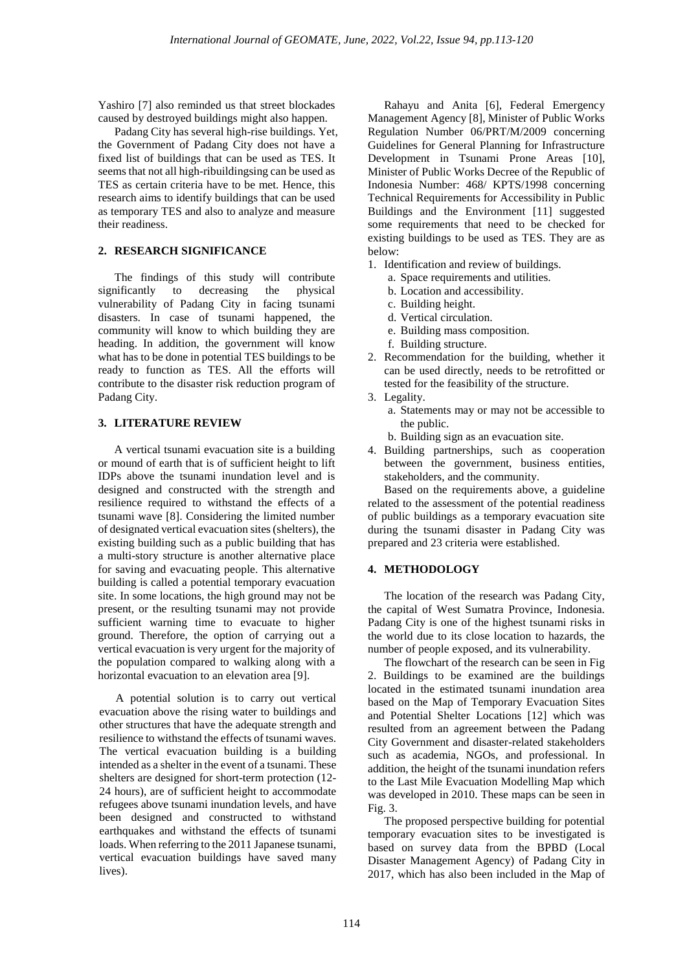Yashiro [7] also reminded us that street blockades caused by destroyed buildings might also happen.

Padang City has several high-rise buildings. Yet, the Government of Padang City does not have a fixed list of buildings that can be used as TES. It seems that not all high-ribuildingsing can be used as TES as certain criteria have to be met. Hence, this research aims to identify buildings that can be used as temporary TES and also to analyze and measure their readiness.

## **2. RESEARCH SIGNIFICANCE**

The findings of this study will contribute significantly to decreasing the physical vulnerability of Padang City in facing tsunami disasters. In case of tsunami happened, the community will know to which building they are heading. In addition, the government will know what has to be done in potential TES buildings to be ready to function as TES. All the efforts will contribute to the disaster risk reduction program of Padang City.

### **3. LITERATURE REVIEW**

A vertical tsunami evacuation site is a building or mound of earth that is of sufficient height to lift IDPs above the tsunami inundation level and is designed and constructed with the strength and resilience required to withstand the effects of a tsunami wave [8]. Considering the limited number of designated vertical evacuation sites (shelters), the existing building such as a public building that has a multi-story structure is another alternative place for saving and evacuating people. This alternative building is called a potential temporary evacuation site. In some locations, the high ground may not be present, or the resulting tsunami may not provide sufficient warning time to evacuate to higher ground. Therefore, the option of carrying out a vertical evacuation is very urgent for the majority of the population compared to walking along with a horizontal evacuation to an elevation area [9].

A potential solution is to carry out vertical evacuation above the rising water to buildings and other structures that have the adequate strength and resilience to withstand the effects of tsunami waves. The vertical evacuation building is a building intended as a shelter in the event of a tsunami. These shelters are designed for short-term protection (12- 24 hours), are of sufficient height to accommodate refugees above tsunami inundation levels, and have been designed and constructed to withstand earthquakes and withstand the effects of tsunami loads. When referring to the 2011 Japanese tsunami, vertical evacuation buildings have saved many lives).

Rahayu and Anita [6], Federal Emergency Management Agency [8], Minister of Public Works Regulation Number 06/PRT/M/2009 concerning Guidelines for General Planning for Infrastructure Development in Tsunami Prone Areas [10], Minister of Public Works Decree of the Republic of Indonesia Number: 468/ KPTS/1998 concerning Technical Requirements for Accessibility in Public Buildings and the Environment [11] suggested some requirements that need to be checked for existing buildings to be used as TES. They are as below:

- 1. Identification and review of buildings.
	- a. Space requirements and utilities.
	- b. Location and accessibility.
	- c. Building height.
	- d. Vertical circulation.
	- e. Building mass composition.
	- f. Building structure.
- 2. Recommendation for the building, whether it can be used directly, needs to be retrofitted or tested for the feasibility of the structure.
- 3. Legality.
	- a. Statements may or may not be accessible to the public.
	- b. Building sign as an evacuation site.
- 4. Building partnerships, such as cooperation between the government, business entities, stakeholders, and the community.

Based on the requirements above, a guideline related to the assessment of the potential readiness of public buildings as a temporary evacuation site during the tsunami disaster in Padang City was prepared and 23 criteria were established.

## **4. METHODOLOGY**

The location of the research was Padang City, the capital of West Sumatra Province, Indonesia. Padang City is one of the highest tsunami risks in the world due to its close location to hazards, the number of people exposed, and its vulnerability.

The flowchart of the research can be seen in Fig 2. Buildings to be examined are the buildings located in the estimated tsunami inundation area based on the Map of Temporary Evacuation Sites and Potential Shelter Locations [12] which was resulted from an agreement between the Padang City Government and disaster-related stakeholders such as academia, NGOs, and professional. In addition, the height of the tsunami inundation refers to the Last Mile Evacuation Modelling Map which was developed in 2010. These maps can be seen in Fig. 3.

The proposed perspective building for potential temporary evacuation sites to be investigated is based on survey data from the BPBD (Local Disaster Management Agency) of Padang City in 2017, which has also been included in the Map of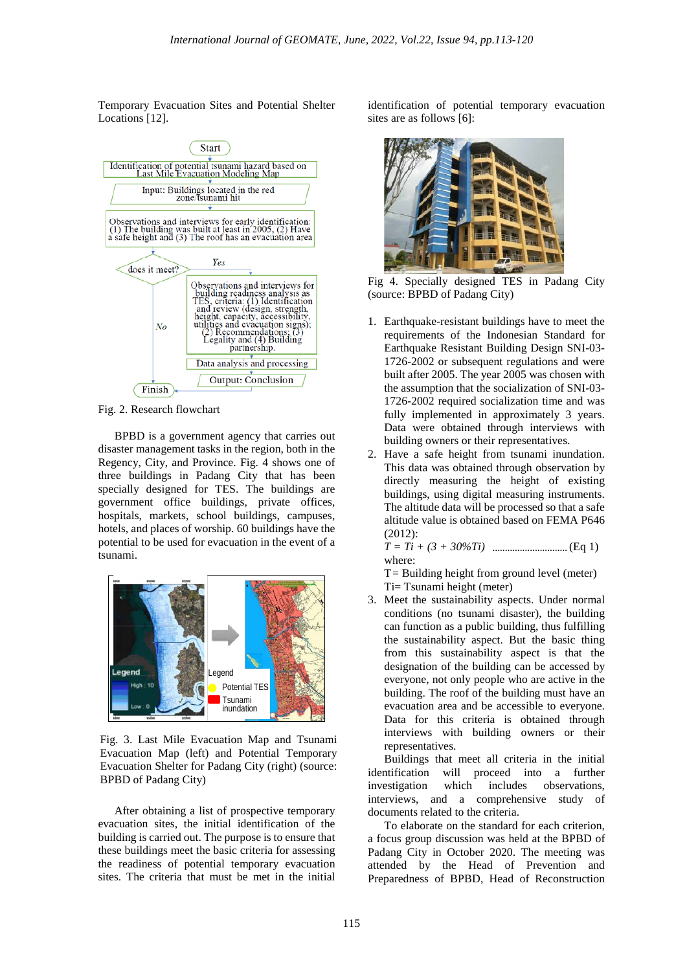Temporary Evacuation Sites and Potential Shelter Locations [12].



Fig. 2. Research flowchart

BPBD is a government agency that carries out disaster management tasks in the region, both in the Regency, City, and Province. Fig. 4 shows one of three buildings in Padang City that has been specially designed for TES. The buildings are government office buildings, private offices, hospitals, markets, school buildings, campuses, hotels, and places of worship. 60 buildings have the potential to be used for evacuation in the event of a tsunami.



Fig. 3. Last Mile Evacuation Map and Tsunami Evacuation Map (left) and Potential Temporary Evacuation Shelter for Padang City (right) (source: BPBD of Padang City)

After obtaining a list of prospective temporary evacuation sites, the initial identification of the building is carried out. The purpose is to ensure that these buildings meet the basic criteria for assessing the readiness of potential temporary evacuation sites. The criteria that must be met in the initial

identification of potential temporary evacuation sites are as follows [6]:



Fig 4. Specially designed TES in Padang City (source: BPBD of Padang City)

- 1. Earthquake-resistant buildings have to meet the requirements of the Indonesian Standard for Earthquake Resistant Building Design SNI-03- 1726-2002 or subsequent regulations and were built after 2005. The year 2005 was chosen with the assumption that the socialization of SNI-03- 1726-2002 required socialization time and was fully implemented in approximately 3 years. Data were obtained through interviews with building owners or their representatives.
- 2. Have a safe height from tsunami inundation. This data was obtained through observation by directly measuring the height of existing buildings, using digital measuring instruments. The altitude data will be processed so that a safe altitude value is obtained based on FEMA P646 (2012):

*T = Ti + (3 + 30%Ti)* **…………………………** (Eq 1) where:

 $T =$  Building height from ground level (meter) Ti= Tsunami height (meter)

3. Meet the sustainability aspects. Under normal conditions (no tsunami disaster), the building can function as a public building, thus fulfilling the sustainability aspect. But the basic thing from this sustainability aspect is that the designation of the building can be accessed by everyone, not only people who are active in the building. The roof of the building must have an evacuation area and be accessible to everyone. Data for this criteria is obtained through interviews with building owners or their representatives.

Buildings that meet all criteria in the initial identification will proceed into a further investigation which includes observations, interviews, and a comprehensive study of documents related to the criteria.

To elaborate on the standard for each criterion, a focus group discussion was held at the BPBD of Padang City in October 2020. The meeting was attended by the Head of Prevention and Preparedness of BPBD, Head of Reconstruction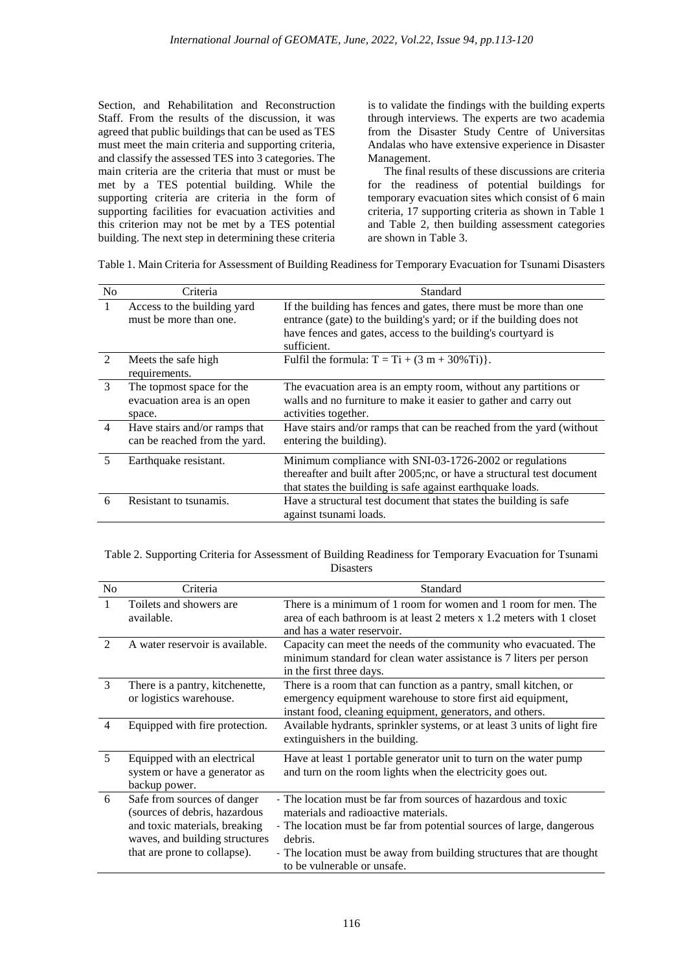Section, and Rehabilitation and Reconstruction Staff. From the results of the discussion, it was agreed that public buildings that can be used as TES must meet the main criteria and supporting criteria, and classify the assessed TES into 3 categories. The main criteria are the criteria that must or must be met by a TES potential building. While the supporting criteria are criteria in the form of supporting facilities for evacuation activities and this criterion may not be met by a TES potential building. The next step in determining these criteria

is to validate the findings with the building experts through interviews. The experts are two academia from the Disaster Study Centre of Universitas Andalas who have extensive experience in Disaster Management.

The final results of these discussions are criteria for the readiness of potential buildings for temporary evacuation sites which consist of 6 main criteria, 17 supporting criteria as shown in Table 1 and Table 2, then building assessment categories are shown in Table 3.

Table 1. Main Criteria for Assessment of Building Readiness for Temporary Evacuation for Tsunami Disasters

| N <sub>0</sub>              | Criteria                                                          | Standard                                                                                                                                                                                                                |
|-----------------------------|-------------------------------------------------------------------|-------------------------------------------------------------------------------------------------------------------------------------------------------------------------------------------------------------------------|
| $\overline{1}$              | Access to the building yard<br>must be more than one.             | If the building has fences and gates, there must be more than one<br>entrance (gate) to the building's yard; or if the building does not<br>have fences and gates, access to the building's courtyard is<br>sufficient. |
| $\mathcal{D}_{\mathcal{L}}$ | Meets the safe high<br>requirements.                              | Fulfil the formula: $T = Ti + (3 m + 30\% Ti)$ .                                                                                                                                                                        |
| $\mathcal{E}$               | The topmost space for the<br>evacuation area is an open<br>space. | The evacuation area is an empty room, without any partitions or<br>walls and no furniture to make it easier to gather and carry out<br>activities together.                                                             |
| $\overline{4}$              | Have stairs and/or ramps that<br>can be reached from the yard.    | Have stairs and/or ramps that can be reached from the yard (without<br>entering the building).                                                                                                                          |
| 5                           | Earthquake resistant.                                             | Minimum compliance with SNI-03-1726-2002 or regulations<br>thereafter and built after 2005;nc, or have a structural test document<br>that states the building is safe against earthquake loads.                         |
| 6                           | Resistant to tsunamis.                                            | Have a structural test document that states the building is safe<br>against tsunami loads.                                                                                                                              |

| Table 2. Supporting Criteria for Assessment of Building Readiness for Temporary Evacuation for Tsunami |  |
|--------------------------------------------------------------------------------------------------------|--|
| <b>Disasters</b>                                                                                       |  |

| N <sub>o</sub>              | Criteria                                                                                                                                                        | Standard                                                                                                                                                                                                                                                                                           |
|-----------------------------|-----------------------------------------------------------------------------------------------------------------------------------------------------------------|----------------------------------------------------------------------------------------------------------------------------------------------------------------------------------------------------------------------------------------------------------------------------------------------------|
| $\mathbf{1}$                | Toilets and showers are.<br>available.                                                                                                                          | There is a minimum of 1 room for women and 1 room for men. The<br>area of each bathroom is at least 2 meters $x$ 1.2 meters with 1 closet<br>and has a water reservoir.                                                                                                                            |
| $\mathcal{D}_{\mathcal{L}}$ | A water reservoir is available.                                                                                                                                 | Capacity can meet the needs of the community who evacuated. The<br>minimum standard for clean water assistance is 7 liters per person<br>in the first three days.                                                                                                                                  |
| 3                           | There is a pantry, kitchenette,<br>or logistics warehouse.                                                                                                      | There is a room that can function as a pantry, small kitchen, or<br>emergency equipment warehouse to store first aid equipment,<br>instant food, cleaning equipment, generators, and others.                                                                                                       |
| 4                           | Equipped with fire protection.                                                                                                                                  | Available hydrants, sprinkler systems, or at least 3 units of light fire<br>extinguishers in the building.                                                                                                                                                                                         |
| 5                           | Equipped with an electrical<br>system or have a generator as<br>backup power.                                                                                   | Have at least 1 portable generator unit to turn on the water pump<br>and turn on the room lights when the electricity goes out.                                                                                                                                                                    |
| 6                           | Safe from sources of danger<br>(sources of debris, hazardous<br>and toxic materials, breaking<br>waves, and building structures<br>that are prone to collapse). | - The location must be far from sources of hazardous and toxic<br>materials and radioactive materials.<br>- The location must be far from potential sources of large, dangerous<br>debris.<br>- The location must be away from building structures that are thought<br>to be vulnerable or unsafe. |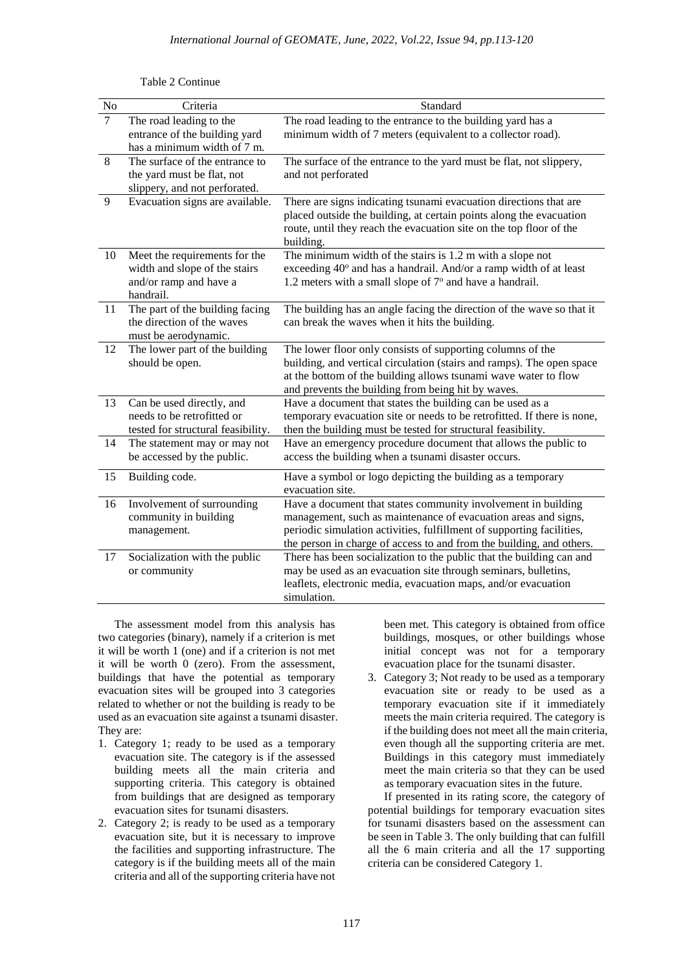| $\overline{No}$ | Criteria                                                                                              | Standard                                                                                                                                                                                                                                                                         |  |
|-----------------|-------------------------------------------------------------------------------------------------------|----------------------------------------------------------------------------------------------------------------------------------------------------------------------------------------------------------------------------------------------------------------------------------|--|
| $\overline{7}$  | The road leading to the<br>entrance of the building yard<br>has a minimum width of 7 m.               | The road leading to the entrance to the building yard has a<br>minimum width of 7 meters (equivalent to a collector road).                                                                                                                                                       |  |
| 8               | The surface of the entrance to<br>the yard must be flat, not<br>slippery, and not perforated.         | The surface of the entrance to the yard must be flat, not slippery,<br>and not perforated                                                                                                                                                                                        |  |
| 9               | Evacuation signs are available.                                                                       | There are signs indicating tsunami evacuation directions that are<br>placed outside the building, at certain points along the evacuation<br>route, until they reach the evacuation site on the top floor of the<br>building.                                                     |  |
| 10              | Meet the requirements for the<br>width and slope of the stairs<br>and/or ramp and have a<br>handrail. | The minimum width of the stairs is 1.2 m with a slope not<br>exceeding 40° and has a handrail. And/or a ramp width of at least<br>1.2 meters with a small slope of $7^\circ$ and have a handrail.                                                                                |  |
| 11              | The part of the building facing<br>the direction of the waves<br>must be aerodynamic.                 | The building has an angle facing the direction of the wave so that it<br>can break the waves when it hits the building.                                                                                                                                                          |  |
| 12              | The lower part of the building<br>should be open.                                                     | The lower floor only consists of supporting columns of the<br>building, and vertical circulation (stairs and ramps). The open space<br>at the bottom of the building allows tsunami wave water to flow<br>and prevents the building from being hit by waves.                     |  |
| 13              | Can be used directly, and<br>needs to be retrofitted or<br>tested for structural feasibility.         | Have a document that states the building can be used as a<br>temporary evacuation site or needs to be retrofitted. If there is none,<br>then the building must be tested for structural feasibility.                                                                             |  |
| 14              | The statement may or may not<br>be accessed by the public.                                            | Have an emergency procedure document that allows the public to<br>access the building when a tsunami disaster occurs.                                                                                                                                                            |  |
| 15              | Building code.                                                                                        | Have a symbol or logo depicting the building as a temporary<br>evacuation site.                                                                                                                                                                                                  |  |
| 16              | Involvement of surrounding<br>community in building<br>management.                                    | Have a document that states community involvement in building<br>management, such as maintenance of evacuation areas and signs,<br>periodic simulation activities, fulfillment of supporting facilities,<br>the person in charge of access to and from the building, and others. |  |
| 17              | Socialization with the public<br>or community                                                         | There has been socialization to the public that the building can and<br>may be used as an evacuation site through seminars, bulletins,<br>leaflets, electronic media, evacuation maps, and/or evacuation<br>simulation.                                                          |  |

Table 2 Continue

The assessment model from this analysis has two categories (binary), namely if a criterion is met it will be worth 1 (one) and if a criterion is not met it will be worth 0 (zero). From the assessment, buildings that have the potential as temporary evacuation sites will be grouped into 3 categories related to whether or not the building is ready to be used as an evacuation site against a tsunami disaster. They are:

- 1. Category 1; ready to be used as a temporary evacuation site. The category is if the assessed building meets all the main criteria and supporting criteria. This category is obtained from buildings that are designed as temporary evacuation sites for tsunami disasters.
- 2. Category 2; is ready to be used as a temporary evacuation site, but it is necessary to improve the facilities and supporting infrastructure. The category is if the building meets all of the main criteria and all of the supporting criteria have not

been met. This category is obtained from office buildings, mosques, or other buildings whose initial concept was not for a temporary evacuation place for the tsunami disaster.

3. Category 3; Not ready to be used as a temporary evacuation site or ready to be used as a temporary evacuation site if it immediately meets the main criteria required. The category is if the building does not meet all the main criteria, even though all the supporting criteria are met. Buildings in this category must immediately meet the main criteria so that they can be used as temporary evacuation sites in the future.

If presented in its rating score, the category of potential buildings for temporary evacuation sites for tsunami disasters based on the assessment can be seen in Table 3. The only building that can fulfill all the 6 main criteria and all the 17 supporting criteria can be considered Category 1.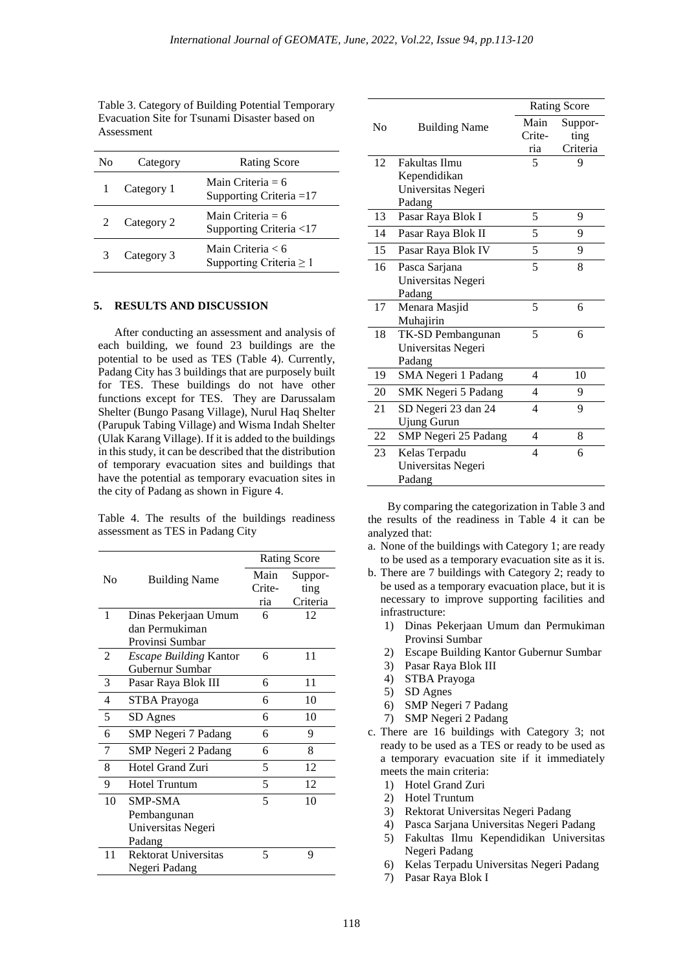Table 3. Category of Building Potential Temporary Evacuation Site for Tsunami Disaster based on Assessment

| Nο | Category   | <b>Rating Score</b>                               |
|----|------------|---------------------------------------------------|
|    | Category 1 | Main Criteria = $6$<br>Supporting Criteria $=17$  |
|    | Category 2 | Main Criteria = $6$<br>Supporting Criteria <17    |
| 3  | Category 3 | Main Criteria < 6<br>Supporting Criteria $\geq 1$ |

#### **5. RESULTS AND DISCUSSION**

After conducting an assessment and analysis of each building, we found 23 buildings are the potential to be used as TES (Table 4). Currently, Padang City has 3 buildings that are purposely built for TES. These buildings do not have other functions except for TES. They are Darussalam Shelter (Bungo Pasang Village), Nurul Haq Shelter (Parupuk Tabing Village) and Wisma Indah Shelter (Ulak Karang Village). If it is added to the buildings in this study, it can be described that the distribution of temporary evacuation sites and buildings that have the potential as temporary evacuation sites in the city of Padang as shown in Figure 4.

Table 4. The results of the buildings readiness assessment as TES in Padang City

|                | <b>Building Name</b>          | <b>Rating Score</b> |          |
|----------------|-------------------------------|---------------------|----------|
| No             |                               | Main                | Suppor-  |
|                |                               | Crite-              | ting     |
|                |                               | ria                 | Criteria |
| 1              | Dinas Pekerjaan Umum          | 6                   | 12       |
|                | dan Permukiman                |                     |          |
|                | Provinsi Sumbar               |                     |          |
| $\mathfrak{D}$ | <b>Escape Building Kantor</b> | 6                   | 11       |
|                | Gubernur Sumbar               |                     |          |
| 3              | Pasar Raya Blok III           | 6                   | 11       |
| 4              | <b>STBA Prayoga</b>           | 6                   | 10       |
| 5              | SD Agnes                      | 6                   | 10       |
| 6              | <b>SMP Negeri 7 Padang</b>    | 6                   | 9        |
| 7              | SMP Negeri 2 Padang           | 6                   | 8        |
| 8              | Hotel Grand Zuri              | 5                   | 12       |
| 9              | <b>Hotel Truntum</b>          | 5                   | 12       |
| 10             | <b>SMP-SMA</b>                | 5                   | 10       |
|                | Pembangunan                   |                     |          |
|                | Universitas Negeri            |                     |          |
|                | Padang                        |                     |          |
| 11             | <b>Rektorat Universitas</b>   | 5                   | 9        |
|                | Negeri Padang                 |                     |          |

|                | <b>Building Name</b> | <b>Rating Score</b> |          |
|----------------|----------------------|---------------------|----------|
| N <sub>0</sub> |                      | Main                | Suppor-  |
|                |                      | Crite-              | ting     |
|                |                      | ria                 | Criteria |
| 12             | <b>Fakultas Ilmu</b> | 5                   | 9        |
|                | Kependidikan         |                     |          |
|                | Universitas Negeri   |                     |          |
|                | Padang               |                     |          |
| 13             | Pasar Raya Blok I    | 5                   | 9        |
| 14             | Pasar Raya Blok II   | 5                   | 9        |
| 15             | Pasar Raya Blok IV   | 5                   | 9        |
| 16             | Pasca Sarjana        | 5                   | 8        |
|                | Universitas Negeri   |                     |          |
|                | Padang               |                     |          |
| 17             | Menara Masjid        | 5                   | 6        |
|                | Muhajirin            |                     |          |
| 18             | TK-SD Pembangunan    | 5                   | 6        |
|                | Universitas Negeri   |                     |          |
|                | Padang               |                     |          |
| 19             | SMA Negeri 1 Padang  | 4                   | 10       |
| 20             | SMK Negeri 5 Padang  | 4                   | 9        |
| 21             | SD Negeri 23 dan 24  | 4                   | 9        |
|                | Ujung Gurun          |                     |          |
| 22             | SMP Negeri 25 Padang | 4                   | 8        |
| 23             | Kelas Terpadu        | 4                   | 6        |
|                | Universitas Negeri   |                     |          |
|                | Padang               |                     |          |

By comparing the categorization in Table 3 and the results of the readiness in Table 4 it can be analyzed that:

- a. None of the buildings with Category 1; are ready to be used as a temporary evacuation site as it is.
- b. There are 7 buildings with Category 2; ready to be used as a temporary evacuation place, but it is necessary to improve supporting facilities and infrastructure:
	- 1) Dinas Pekerjaan Umum dan Permukiman Provinsi Sumbar
	- 2) Escape Building Kantor Gubernur Sumbar
	- 3) Pasar Raya Blok III
	- 4) STBA Prayoga
	- 5) SD Agnes
	- 6) SMP Negeri 7 Padang
	- 7) SMP Negeri 2 Padang
- c. There are 16 buildings with Category 3; not ready to be used as a TES or ready to be used as a temporary evacuation site if it immediately meets the main criteria:
	- 1) Hotel Grand Zuri
	- 2) Hotel Truntum
	- 3) Rektorat Universitas Negeri Padang
	- 4) Pasca Sarjana Universitas Negeri Padang
	- 5) Fakultas Ilmu Kependidikan Universitas Negeri Padang
	- 6) Kelas Terpadu Universitas Negeri Padang
	- 7) Pasar Raya Blok I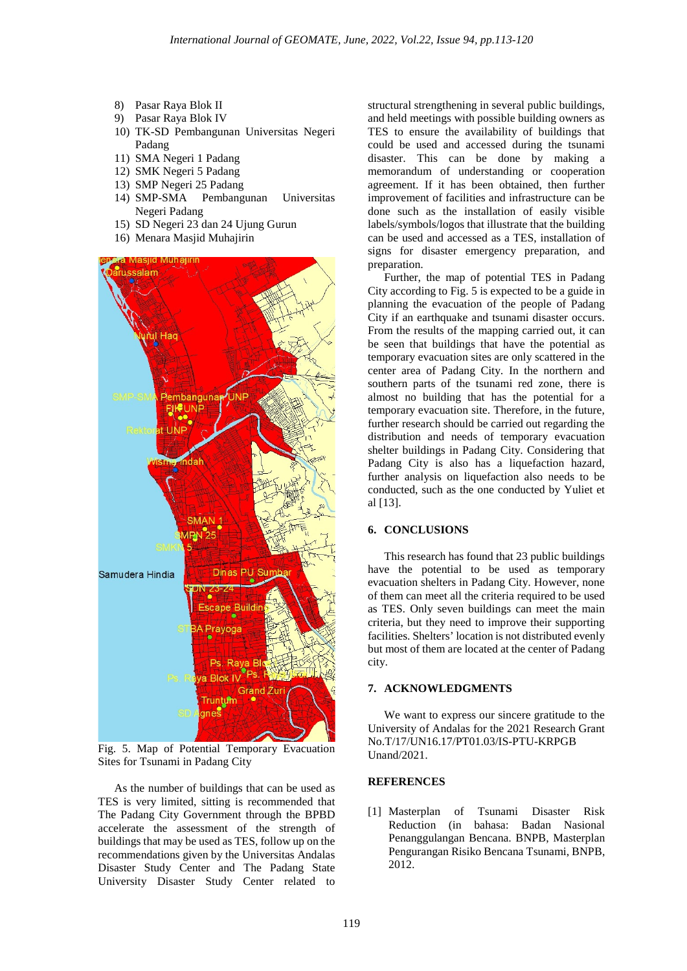- 8) Pasar Raya Blok II
- 9) Pasar Raya Blok IV
- 10) TK-SD Pembangunan Universitas Negeri Padang
- 11) SMA Negeri 1 Padang
- 12) SMK Negeri 5 Padang
- 13) SMP Negeri 25 Padang
- 14) SMP-SMA Pembangunan Universitas Negeri Padang
- 15) SD Negeri 23 dan 24 Ujung Gurun
- 16) Menara Masjid Muhajirin



Fig. 5. Map of Potential Temporary Evacuation Sites for Tsunami in Padang City

As the number of buildings that can be used as TES is very limited, sitting is recommended that The Padang City Government through the BPBD accelerate the assessment of the strength of buildings that may be used as TES, follow up on the recommendations given by the Universitas Andalas Disaster Study Center and The Padang State University Disaster Study Center related to

structural strengthening in several public buildings, and held meetings with possible building owners as TES to ensure the availability of buildings that could be used and accessed during the tsunami disaster. This can be done by making a memorandum of understanding or cooperation agreement. If it has been obtained, then further improvement of facilities and infrastructure can be done such as the installation of easily visible labels/symbols/logos that illustrate that the building can be used and accessed as a TES, installation of signs for disaster emergency preparation, and preparation.

Further, the map of potential TES in Padang City according to Fig. 5 is expected to be a guide in planning the evacuation of the people of Padang City if an earthquake and tsunami disaster occurs. From the results of the mapping carried out, it can be seen that buildings that have the potential as temporary evacuation sites are only scattered in the center area of Padang City. In the northern and southern parts of the tsunami red zone, there is almost no building that has the potential for a temporary evacuation site. Therefore, in the future, further research should be carried out regarding the distribution and needs of temporary evacuation shelter buildings in Padang City. Considering that Padang City is also has a liquefaction hazard, further analysis on liquefaction also needs to be conducted, such as the one conducted by Yuliet et al [13].

#### **6. CONCLUSIONS**

This research has found that 23 public buildings have the potential to be used as temporary evacuation shelters in Padang City. However, none of them can meet all the criteria required to be used as TES. Only seven buildings can meet the main criteria, but they need to improve their supporting facilities. Shelters' location is not distributed evenly but most of them are located at the center of Padang city.

#### **7. ACKNOWLEDGMENTS**

We want to express our sincere gratitude to the University of Andalas for the 2021 Research Grant No.T/17/UN16.17/PT01.03/IS-PTU-KRPGB Unand/2021.

### **REFERENCES**

[1] Masterplan of Tsunami Disaster Risk Reduction (in bahasa: Badan Nasional Penanggulangan Bencana. BNPB, Masterplan Pengurangan Risiko Bencana Tsunami, BNPB, 2012.